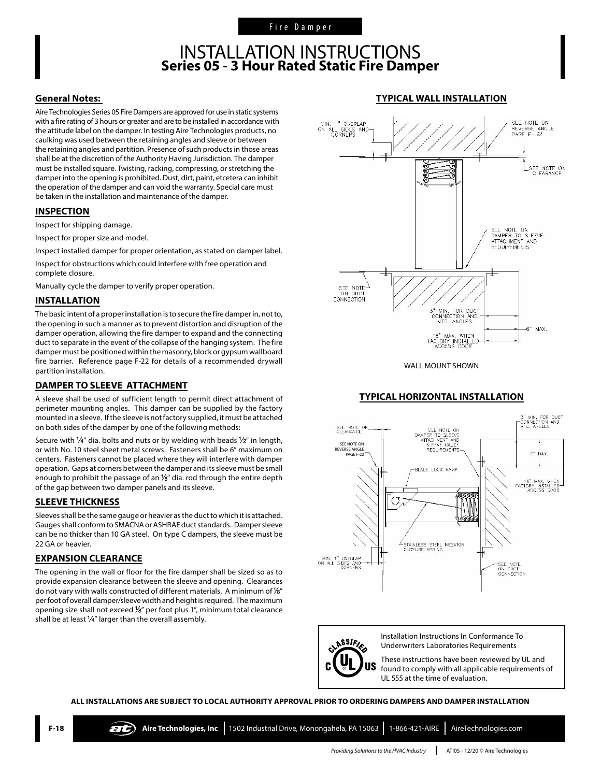### INSTALLATION INSTRUCTIONS **Series 05 - 3 Hour Rated Static Fire Damper**

#### **General Notes:**

Aire Technologies Series 05 Fire Dampers are approved for use in static systems with a fire rating of 3 hours or greater and are to be installed in accordance with the attitude label on the damper. In testing Aire Technologies products, no caulking was used between the retaining angles and sleeve or between the retaining angles and partition. Presence of such products in those areas shall be at the discretion of the Authority Having Jurisdiction. The damper must be installed square. Twisting, racking, compressing, or stretching the damper into the opening is prohibited. Dust, dirt, paint, etcetera can inhibit the operation of the damper and can void the warranty. Special care must be taken in the installation and maintenance of the damper.

#### **INSPECTION**

Inspect for shipping damage.

Inspect for proper size and model.

Inspect installed damper for proper orientation, as stated on damper label.

Inspect for obstructions which could interfere with free operation and complete closure.

Manually cycle the damper to verify proper operation.

#### **INSTALLATION**

The basic intent of a proper installation is to secure the fire damper in, not to, the opening in such a manner as to prevent distortion and disruption of the damper operation, allowing the fire damper to expand and the connecting duct to separate in the event of the collapse of the hanging system. The fire damper must be positioned within the masonry, block or gypsum wallboard fire barrier. Reference page F-22 for details of a recommended drywall partition installation.

#### **DAMPER TO SLEEVE ATTACHMENT**

A sleeve shall be used of sufficient length to permit direct attachment of perimeter mounting angles. This damper can be supplied by the factory mounted in a sleeve. If the sleeve is not factory supplied, it must be attached on both sides of the damper by one of the following methods:

Secure with  $\frac{1}{4}$ " dia. bolts and nuts or by welding with beads  $\frac{1}{2}$ " in length, or with No. 10 steel sheet metal screws. Fasteners shall be 6" maximum on centers. Fasteners cannot be placed where they will interfere with damper operation. Gaps at corners between the damper and its sleeve must be small enough to prohibit the passage of an  $\frac{1}{8}$ " dia. rod through the entire depth of the gap between two damper panels and its sleeve.

#### **SLEEVE THICKNESS**

Sleeves shall be the same gauge or heavier as the duct to which it is attached. Gauges shall conform to SMACNA or ASHRAE duct standards. Damper sleeve can be no thicker than 10 GA steel. On type C dampers, the sleeve must be 22 GA or heavier.

#### **EXPANSION CLEARANCE**

The opening in the wall or floor for the fire damper shall be sized so as to provide expansion clearance between the sleeve and opening. Clearances do not vary with walls constructed of different materials. A minimum of  $\frac{1}{8}$ " per foot of overall damper/sleeve width and height is required. The maximum opening size shall not exceed  $\frac{1}{8}$ " per foot plus 1", minimum total clearance shall be at least  $\frac{1}{4}$ " larger than the overall assembly.





WALL MOUNT SHOWN

#### **TYPICAL HORIZONTAL INSTALLATION**





Installation Instructions In Conformance To Underwriters Laboratories Requirements

These instructions have been reviewed by UL and found to comply with all applicable requirements of UL 555 at the time of evaluation.

**ALL INSTALLATIONS ARE SUBJECT TO LOCAL AUTHORITY APPROVAL PRIOR TO ORDERING DAMPERS AND DAMPER INSTALLATION**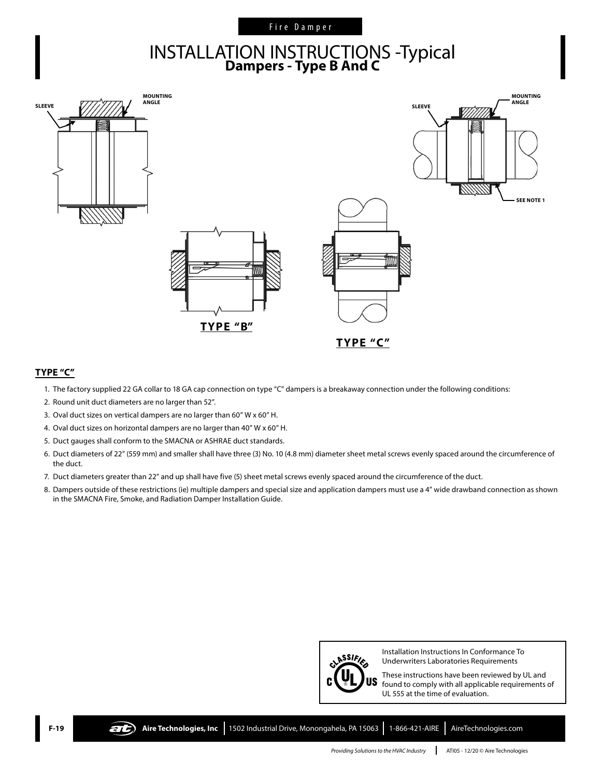#### Fire Damper

# INSTALLATION INSTRUCTIONS -Typical **Dampers - Type B And C**



#### **TYPE "C"**

- 1. The factory supplied 22 GA collar to 18 GA cap connection on type "C" dampers is a breakaway connection under the following conditions:
- 2. Round unit duct diameters are no larger than 52".
- 3. Oval duct sizes on vertical dampers are no larger than 60" W x 60" H.
- 4. Oval duct sizes on horizontal dampers are no larger than 40" W x 60" H.
- 5. Duct gauges shall conform to the SMACNA or ASHRAE duct standards.
- 6. Duct diameters of 22" (559 mm) and smaller shall have three (3) No. 10 (4.8 mm) diameter sheet metal screws evenly spaced around the circumference of the duct.
- 7. Duct diameters greater than 22" and up shall have five (5) sheet metal screws evenly spaced around the circumference of the duct.
- 8. Dampers outside of these restrictions (ie) multiple dampers and special size and application dampers must use a 4" wide drawband connection as shown in the SMACNA Fire, Smoke, and Radiation Damper Installation Guide.



Installation Instructions In Conformance To Underwriters Laboratories Requirements

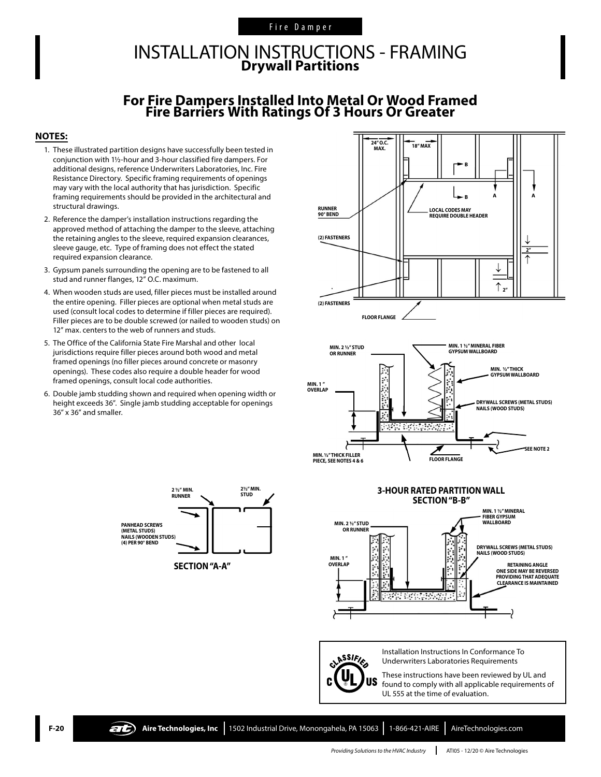#### Fire Damper

## INSTALLATION INSTRUCTIONS - FRAMING **Drywall Partitions**

## **For Fire Dampers Installed Into Metal Or Wood Framed Fire Barriers With Ratings Of 3 Hours Or Greater**

#### **NOTES:**

- 1. These illustrated partition designs have successfully been tested in conjunction with 1½-hour and 3-hour classified fire dampers. For additional designs, reference Underwriters Laboratories, Inc. Fire Resistance Directory. Specific framing requirements of openings may vary with the local authority that has jurisdiction. Specific framing requirements should be provided in the architectural and structural drawings.
- 2. Reference the damper's installation instructions regarding the approved method of attaching the damper to the sleeve, attaching the retaining angles to the sleeve, required expansion clearances, sleeve gauge, etc. Type of framing does not effect the stated required expansion clearance.
- 3. Gypsum panels surrounding the opening are to be fastened to all stud and runner flanges, 12" O.C. maximum.
- 4. When wooden studs are used, filler pieces must be installed around the entire opening. Filler pieces are optional when metal studs are used (consult local codes to determine if filler pieces are required). Filler pieces are to be double screwed (or nailed to wooden studs) on 12" max. centers to the web of runners and studs.
- 5. The Office of the California State Fire Marshal and other local jurisdictions require filler pieces around both wood and metal framed openings (no filler pieces around concrete or masonry openings). These codes also require a double header for wood framed openings, consult local code authorities.
- 6. Double jamb studding shown and required when opening width or height exceeds 36". Single jamb studding acceptable for openings 36" x 36" and smaller.

**PANHEAD SCREWS (METAL STUDS) NAILS (WOODEN STUDS) (4) PER 90° BEND**

**2½" MIN.** 

 $\angle$ 

**2 <sup>1</sup>/<sub>2</sub> /\* MIN. 2**<sup>1</sup>/<sub>2</sub> *2* <sup>1</sup>/<sub>2</sub> **2** <sup>2</sup>/<sub>2</sub> *N* **5TUD** 

 $\blacktriangleright$ 

→

→

**SECTION "A-A"**

**RUNNER**







CLASSIFIES **US** 

Installation Instructions In Conformance To Underwriters Laboratories Requirements



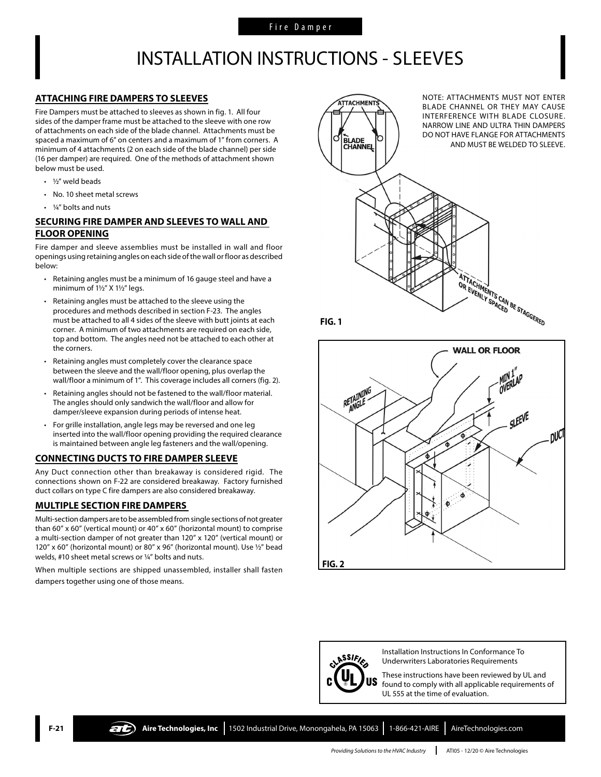## INSTALLATION INSTRUCTIONS - SLEEVES

#### **ATTACHING FIRE DAMPERS TO SLEEVES**

Fire Dampers must be attached to sleeves as shown in fig. 1. All four sides of the damper frame must be attached to the sleeve with one row of attachments on each side of the blade channel. Attachments must be spaced a maximum of 6" on centers and a maximum of 1" from corners. A minimum of 4 attachments (2 on each side of the blade channel) per side (16 per damper) are required. One of the methods of attachment shown below must be used.

- ½" weld beads
- No. 10 sheet metal screws
- 1/<sub>4</sub>" bolts and nuts

#### **SECURING FIRE DAMPER AND SLEEVES TO WALL AND FLOOR OPENING**

Fire damper and sleeve assemblies must be installed in wall and floor openings using retaining angles on each side of the wall or floor as described below:

- Retaining angles must be a minimum of 16 gauge steel and have a minimum of 1½" X 1½" legs.
- Retaining angles must be attached to the sleeve using the procedures and methods described in section F-23. The angles must be attached to all 4 sides of the sleeve with butt joints at each corner. A minimum of two attachments are required on each side, top and bottom. The angles need not be attached to each other at the corners.
- Retaining angles must completely cover the clearance space between the sleeve and the wall/floor opening, plus overlap the wall/floor a minimum of 1". This coverage includes all corners (fig. 2).
- Retaining angles should not be fastened to the wall/floor material. The angles should only sandwich the wall/floor and allow for damper/sleeve expansion during periods of intense heat.
- For grille installation, angle legs may be reversed and one leg inserted into the wall/floor opening providing the required clearance is maintained between angle leg fasteners and the wall/opening.

#### **CONNECTING DUCTS TO FIRE DAMPER SLEEVE**

Any Duct connection other than breakaway is considered rigid. The connections shown on F-22 are considered breakaway. Factory furnished duct collars on type C fire dampers are also considered breakaway.

#### **MULTIPLE SECTION FIRE DAMPERS**

Multi-section dampers are to be assembled from single sections of not greater than 60" x 60" (vertical mount) or 40" x 60" (horizontal mount) to comprise a multi-section damper of not greater than 120" x 120" (vertical mount) or 120" x 60" (horizontal mount) or 80" x 96" (horizontal mount). Use ½" bead welds, #10 sheet metal screws or ¼" bolts and nuts.

When multiple sections are shipped unassembled, installer shall fasten dampers together using one of those means.







Installation Instructions In Conformance To Underwriters Laboratories Requirements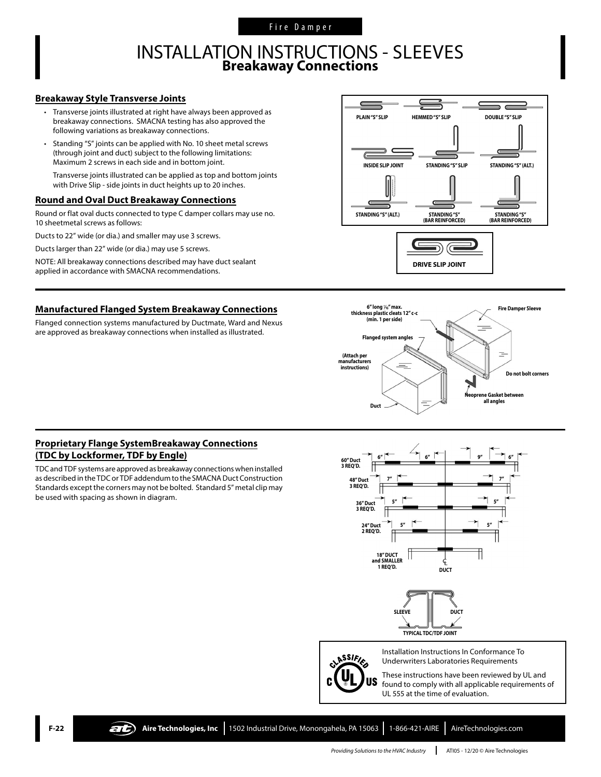## INSTALLATION INSTRUCTIONS - SLEEVES **Breakaway Connections**

#### **Breakaway Style Transverse Joints**

- Transverse joints illustrated at right have always been approved as breakaway connections. SMACNA testing has also approved the following variations as breakaway connections.
- Standing "S" joints can be applied with No. 10 sheet metal screws (through joint and duct) subject to the following limitations: Maximum 2 screws in each side and in bottom joint.

Transverse joints illustrated can be applied as top and bottom joints with Drive Slip - side joints in duct heights up to 20 inches.

#### **Round and Oval Duct Breakaway Connections**

Round or flat oval ducts connected to type C damper collars may use no. 10 sheetmetal screws as follows:

Ducts to 22" wide (or dia.) and smaller may use 3 screws.

Ducts larger than 22" wide (or dia.) may use 5 screws.

NOTE: All breakaway connections described may have duct sealant applied in accordance with SMACNA recommendations.

#### **Manufactured Flanged System Breakaway Connections**

Flanged connection systems manufactured by Ductmate, Ward and Nexus are approved as breakaway connections when installed as illustrated.





#### **Proprietary Flange SystemBreakaway Connections (TDC by Lockformer, TDF by Engle)**

TDC and TDF systems are approved as breakaway connections when installed as described in the TDC or TDF addendum to the SMACNA Duct Construction Standards except the corners may not be bolted. Standard 5" metal clip may be used with spacing as shown in diagram.



**TYPICAL TDC/TDF JOINT**



Installation Instructions In Conformance To Underwriters Laboratories Requirements

These instructions have been reviewed by UL and found to comply with all applicable requirements of UL 555 at the time of evaluation.

**F-22 Aire Technologies, Inc** 1502 Industrial Drive, Monongahela, PA 15063 1-866-421-AIRE AireTechnologies.com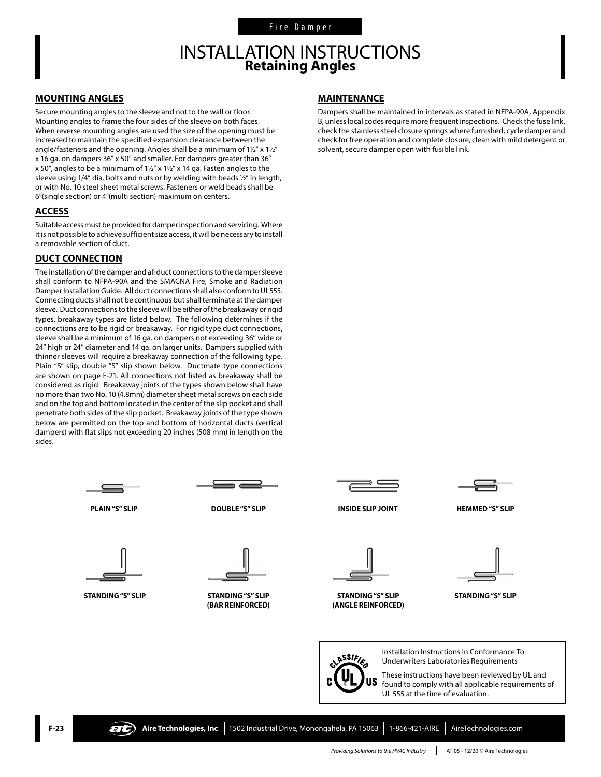## INSTALLATION INSTRUCTIONS **Retaining Angles**

#### **MOUNTING ANGLES**

Secure mounting angles to the sleeve and not to the wall or floor. Mounting angles to frame the four sides of the sleeve on both faces. When reverse mounting angles are used the size of the opening must be increased to maintain the specified expansion clearance between the angle/fasteners and the opening. Angles shall be a minimum of 1½" x 1½" x 16 ga. on dampers 36" x 50" and smaller. For dampers greater than 36" x 50", angles to be a minimum of 1½" x 1½" x 14 ga. Fasten angles to the sleeve using 1/4" dia. bolts and nuts or by welding with beads ½" in length, or with No. 10 steel sheet metal screws. Fasteners or weld beads shall be 6"(single section) or 4"(multi section) maximum on centers.

#### **ACCESS**

Suitable access must be provided for damper inspection and servicing. Where it is not possible to achieve sufficient size access, it will be necessary to install a removable section of duct.

#### **DUCT CONNECTION**

The installation of the damper and all duct connections to the damper sleeve shall conform to NFPA-90A and the SMACNA Fire, Smoke and Radiation Damper Installation Guide. All duct connections shall also conform to UL555. Connecting ducts shall not be continuous but shall terminate at the damper sleeve. Duct connections to the sleeve will be either of the breakaway or rigid types, breakaway types are listed below. The following determines if the connections are to be rigid or breakaway. For rigid type duct connections, sleeve shall be a minimum of 16 ga. on dampers not exceeding 36" wide or 24" high or 24" diameter and 14 ga. on larger units. Dampers supplied with thinner sleeves will require a breakaway connection of the following type. Plain "S" slip, double "S" slip shown below. Ductmate type connections are shown on page F-21. All connections not listed as breakaway shall be considered as rigid. Breakaway joints of the types shown below shall have no more than two No. 10 (4.8mm) diameter sheet metal screws on each side and on the top and bottom located in the center of the slip pocket and shall penetrate both sides of the slip pocket. Breakaway joints of the type shown below are permitted on the top and bottom of horizontal ducts (vertical dampers) with flat slips not exceeding 20 inches (508 mm) in length on the sides.

#### **MAINTENANCE**

Dampers shall be maintained in intervals as stated in NFPA-90A, Appendix B, unless local codes require more frequent inspections. Check the fuse link, check the stainless steel closure springs where furnished, cycle damper and check for free operation and complete closure, clean with mild detergent or solvent, secure damper open with fusible link.

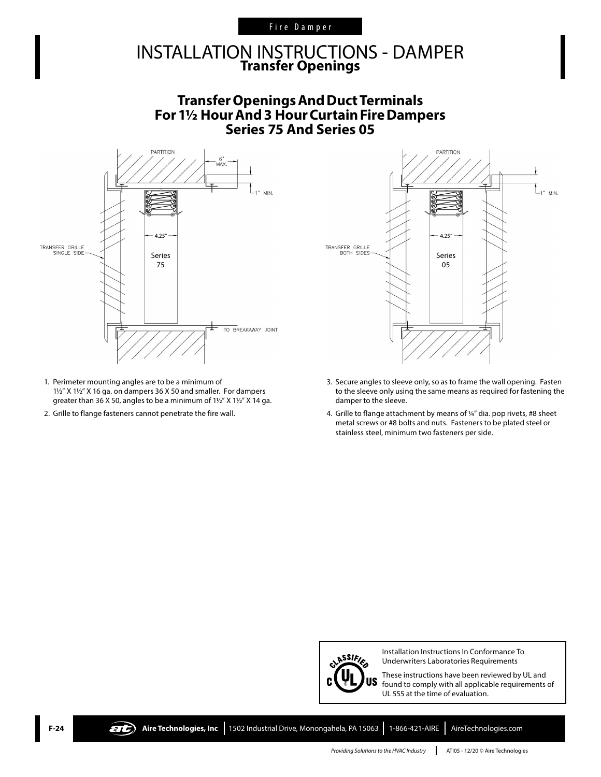#### Fire Damper

## INSTALLATION INSTRUCTIONS - DAMPER **Transfer Openings**

### **TransferOpeningsAndDuctTerminals For1½ HourAnd3 HourCurtainFireDampers Series 75 And Series 05**



- 1. Perimeter mounting angles are to be a minimum of 1½" X 1½" X 16 ga. on dampers 36 X 50 and smaller. For dampers greater than 36 X 50, angles to be a minimum of 1½" X 1½" X 14 ga.
- 2. Grille to flange fasteners cannot penetrate the fire wall.



- 3. Secure angles to sleeve only, so as to frame the wall opening. Fasten to the sleeve only using the same means as required for fastening the damper to the sleeve.
- 4. Grille to flange attachment by means of ¼" dia. pop rivets, #8 sheet metal screws or #8 bolts and nuts. Fasteners to be plated steel or stainless steel, minimum two fasteners per side.



Installation Instructions In Conformance To Underwriters Laboratories Requirements